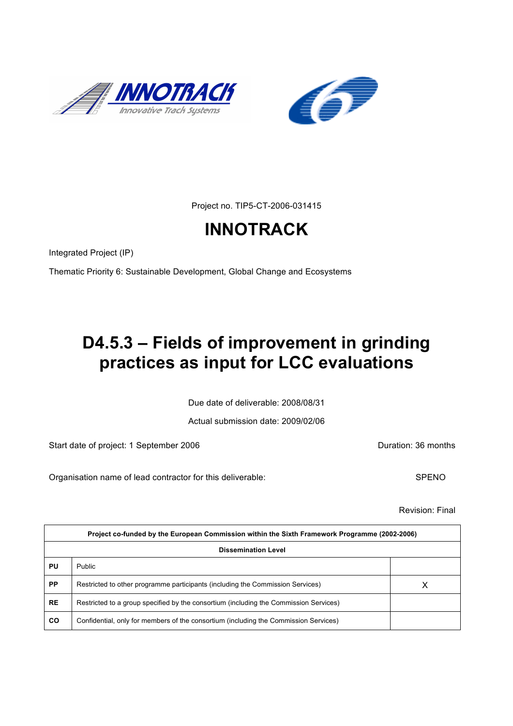



Project no. TIP5-CT-2006-031415

# **INNOTRACK**

Integrated Project (IP)

Thematic Priority 6: Sustainable Development, Global Change and Ecosystems

# **D4.5.3 – Fields of improvement in grinding practices as input for LCC evaluations**

Due date of deliverable: 2008/08/31

Actual submission date: 2009/02/06

Start date of project: 1 September 2006 **Duration: 36 months** 

Organisation name of lead contractor for this deliverable: SPENO

Revision: Final

| Project co-funded by the European Commission within the Sixth Framework Programme (2002-2006) |                                                                                       |  |  |  |
|-----------------------------------------------------------------------------------------------|---------------------------------------------------------------------------------------|--|--|--|
| <b>Dissemination Level</b>                                                                    |                                                                                       |  |  |  |
| PU                                                                                            | Public                                                                                |  |  |  |
| <b>PP</b>                                                                                     | Restricted to other programme participants (including the Commission Services)        |  |  |  |
| <b>RE</b>                                                                                     | Restricted to a group specified by the consortium (including the Commission Services) |  |  |  |
| <b>CO</b>                                                                                     | Confidential, only for members of the consortium (including the Commission Services)  |  |  |  |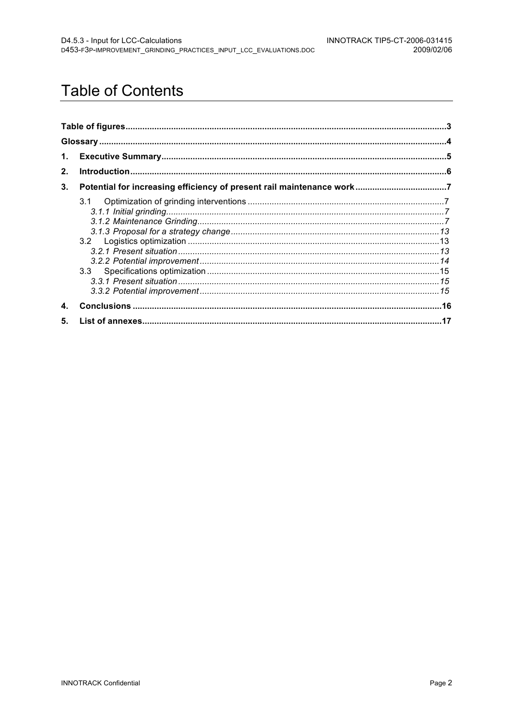# **Table of Contents**

| 1. |     |  |
|----|-----|--|
| 2. |     |  |
| 3. |     |  |
|    | 3.1 |  |
| 4. |     |  |
| 5. |     |  |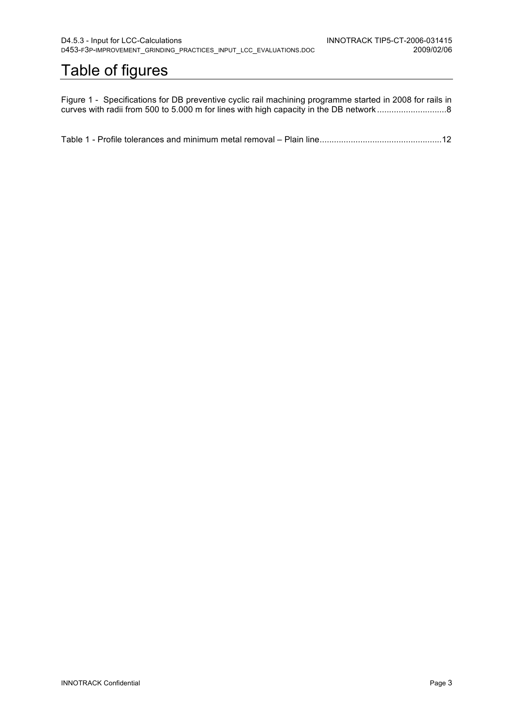# Table of figures

Figure 1 - Specifications for DB preventive cyclic rail machining programme started in 2008 for rails in curves with radii from 500 to 5.000 m for lines with high capacity in the DB network .............................8

Table 1 - Profile tolerances and minimum metal removal – Plain line...................................................12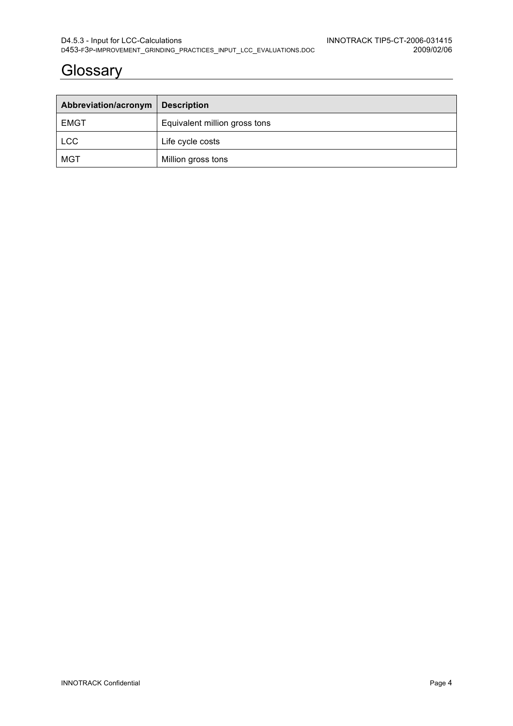## **Glossary**

| Abbreviation/acronym | <b>Description</b>            |
|----------------------|-------------------------------|
| <b>EMGT</b>          | Equivalent million gross tons |
| <b>LCC</b>           | Life cycle costs              |
| MGT                  | Million gross tons            |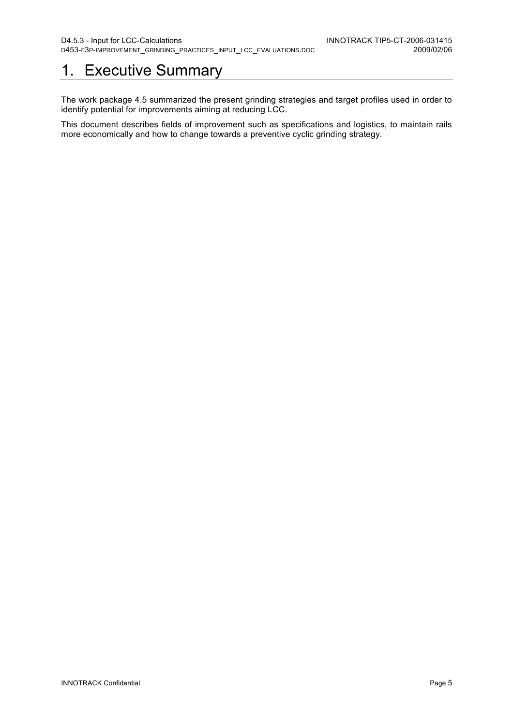# 1. Executive Summary

The work package 4.5 summarized the present grinding strategies and target profiles used in order to identify potential for improvements aiming at reducing LCC.

This document describes fields of improvement such as specifications and logistics, to maintain rails more economically and how to change towards a preventive cyclic grinding strategy.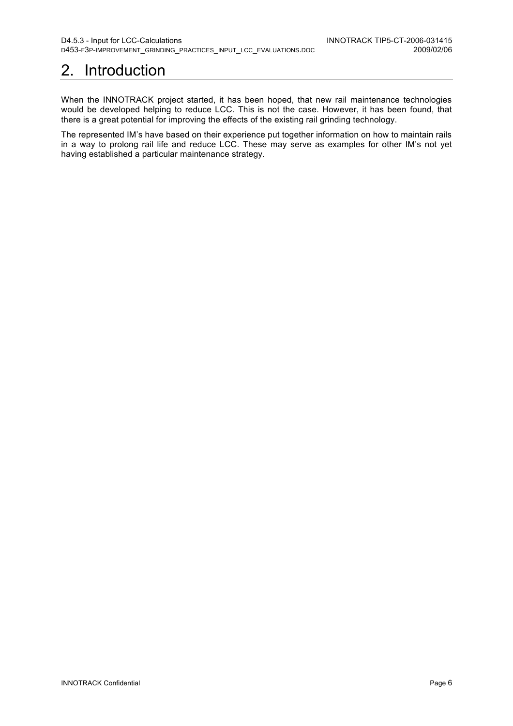# 2. Introduction

When the INNOTRACK project started, it has been hoped, that new rail maintenance technologies would be developed helping to reduce LCC. This is not the case. However, it has been found, that there is a great potential for improving the effects of the existing rail grinding technology.

The represented IM's have based on their experience put together information on how to maintain rails in a way to prolong rail life and reduce LCC. These may serve as examples for other IM's not yet having established a particular maintenance strategy.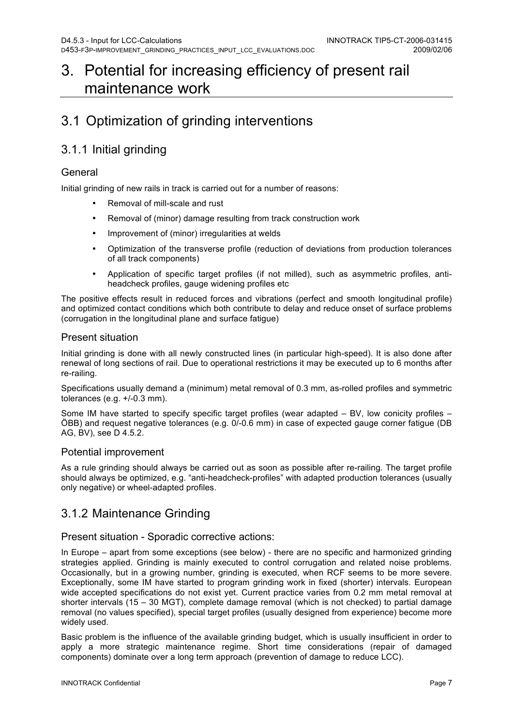## 3. Potential for increasing efficiency of present rail maintenance work

## 3.1 Optimization of grinding interventions

## 3.1.1 Initial grinding

#### General

Initial grinding of new rails in track is carried out for a number of reasons:

- Removal of mill-scale and rust
- Removal of (minor) damage resulting from track construction work
- Improvement of (minor) irregularities at welds
- Optimization of the transverse profile (reduction of deviations from production tolerances of all track components)
- Application of specific target profiles (if not milled), such as asymmetric profiles, antiheadcheck profiles, gauge widening profiles etc

The positive effects result in reduced forces and vibrations (perfect and smooth longitudinal profile) and optimized contact conditions which both contribute to delay and reduce onset of surface problems (corrugation in the longitudinal plane and surface fatigue)

#### Present situation

Initial grinding is done with all newly constructed lines (in particular high-speed). It is also done after renewal of long sections of rail. Due to operational restrictions it may be executed up to 6 months after re-railing.

Specifications usually demand a (minimum) metal removal of 0.3 mm, as-rolled profiles and symmetric tolerances (e.g. +/-0.3 mm).

Some IM have started to specify specific target profiles (wear adapted – BV, low conicity profiles – ÖBB) and request negative tolerances (e.g. 0/-0.6 mm) in case of expected gauge corner fatigue (DB AG, BV), see D 4.5.2.

#### Potential improvement

As a rule grinding should always be carried out as soon as possible after re-railing. The target profile should always be optimized, e.g. "anti-headcheck-profiles" with adapted production tolerances (usually only negative) or wheel-adapted profiles.

### 3.1.2 Maintenance Grinding

#### Present situation - Sporadic corrective actions:

In Europe – apart from some exceptions (see below) - there are no specific and harmonized grinding strategies applied. Grinding is mainly executed to control corrugation and related noise problems. Occasionally, but in a growing number, grinding is executed, when RCF seems to be more severe. Exceptionally, some IM have started to program grinding work in fixed (shorter) intervals. European wide accepted specifications do not exist yet. Current practice varies from 0.2 mm metal removal at shorter intervals (15 – 30 MGT), complete damage removal (which is not checked) to partial damage removal (no values specified), special target profiles (usually designed from experience) become more widely used.

Basic problem is the influence of the available grinding budget, which is usually insufficient in order to apply a more strategic maintenance regime. Short time considerations (repair of damaged components) dominate over a long term approach (prevention of damage to reduce LCC).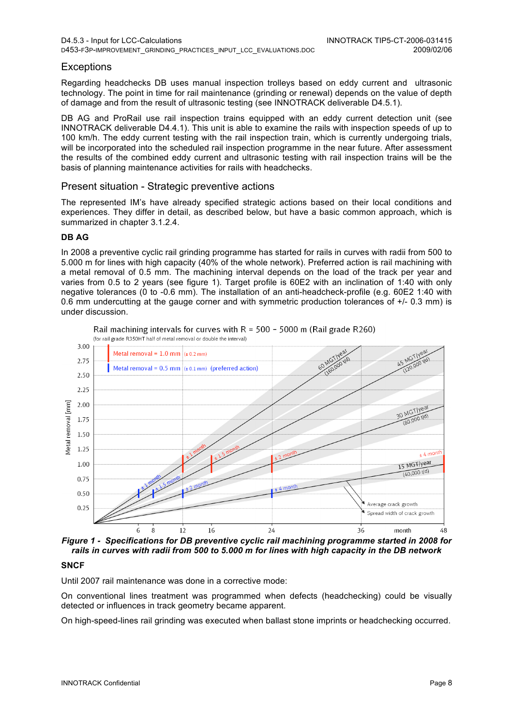#### **Exceptions**

Regarding headchecks DB uses manual inspection trolleys based on eddy current and ultrasonic technology. The point in time for rail maintenance (grinding or renewal) depends on the value of depth of damage and from the result of ultrasonic testing (see INNOTRACK deliverable D4.5.1).

DB AG and ProRail use rail inspection trains equipped with an eddy current detection unit (see INNOTRACK deliverable D4.4.1). This unit is able to examine the rails with inspection speeds of up to 100 km/h. The eddy current testing with the rail inspection train, which is currently undergoing trials, will be incorporated into the scheduled rail inspection programme in the near future. After assessment the results of the combined eddy current and ultrasonic testing with rail inspection trains will be the basis of planning maintenance activities for rails with headchecks.

#### Present situation - Strategic preventive actions

The represented IM's have already specified strategic actions based on their local conditions and experiences. They differ in detail, as described below, but have a basic common approach, which is summarized in chapter 3.1.2.4.

#### **DB AG**

In 2008 a preventive cyclic rail grinding programme has started for rails in curves with radii from 500 to 5.000 m for lines with high capacity (40% of the whole network). Preferred action is rail machining with a metal removal of 0.5 mm. The machining interval depends on the load of the track per year and varies from 0.5 to 2 years (see figure 1). Target profile is 60E2 with an inclination of 1:40 with only negative tolerances (0 to -0.6 mm). The installation of an anti-headcheck-profile (e.g. 60E2 1:40 with 0.6 mm undercutting at the gauge corner and with symmetric production tolerances of  $+/-$  0.3 mm) is under discussion.



Rail machining intervals for curves with  $R = 500 - 5000$  m (Rail grade R260) (for rail grade R350HT half of metal removal or double the interval)

*Figure 1 - Specifications for DB preventive cyclic rail machining programme started in 2008 for rails in curves with radii from 500 to 5.000 m for lines with high capacity in the DB network*

#### **SNCF**

Until 2007 rail maintenance was done in a corrective mode:

On conventional lines treatment was programmed when defects (headchecking) could be visually detected or influences in track geometry became apparent.

On high-speed-lines rail grinding was executed when ballast stone imprints or headchecking occurred.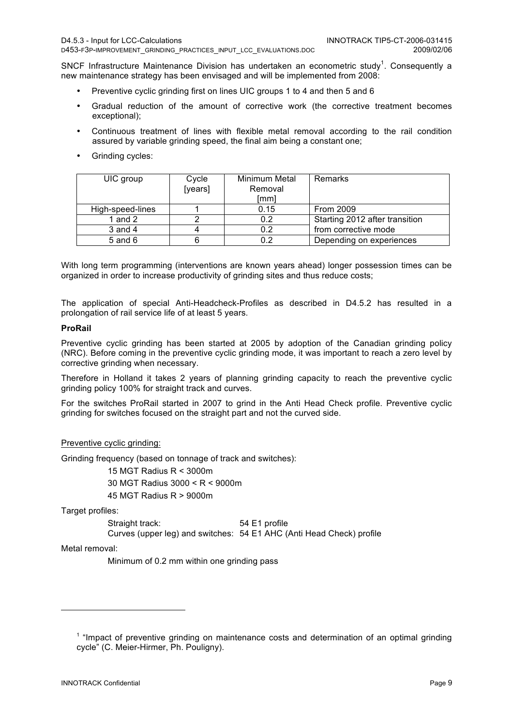SNCF Infrastructure Maintenance Division has undertaken an econometric study<sup>1</sup>. Consequently a new maintenance strategy has been envisaged and will be implemented from 2008:

- Preventive cyclic grinding first on lines UIC groups 1 to 4 and then 5 and 6
- Gradual reduction of the amount of corrective work (the corrective treatment becomes exceptional);
- Continuous treatment of lines with flexible metal removal according to the rail condition assured by variable grinding speed, the final aim being a constant one;
- Grinding cycles:

| UIC group        | Cycle<br>[years] | Minimum Metal<br>Removal<br>[mm] | Remarks                        |
|------------------|------------------|----------------------------------|--------------------------------|
| High-speed-lines |                  | 0.15                             | From 2009                      |
| 1 and 2          |                  | 0.2                              | Starting 2012 after transition |
| $3$ and $4$      |                  | 0.2                              | from corrective mode           |
| $5$ and $6$      |                  | 0.2                              | Depending on experiences       |

With long term programming (interventions are known years ahead) longer possession times can be organized in order to increase productivity of grinding sites and thus reduce costs;

The application of special Anti-Headcheck-Profiles as described in D4.5.2 has resulted in a prolongation of rail service life of at least 5 years.

#### **ProRail**

Preventive cyclic grinding has been started at 2005 by adoption of the Canadian grinding policy (NRC). Before coming in the preventive cyclic grinding mode, it was important to reach a zero level by corrective grinding when necessary.

Therefore in Holland it takes 2 years of planning grinding capacity to reach the preventive cyclic grinding policy 100% for straight track and curves.

For the switches ProRail started in 2007 to grind in the Anti Head Check profile. Preventive cyclic grinding for switches focused on the straight part and not the curved side.

#### Preventive cyclic grinding:

Grinding frequency (based on tonnage of track and switches):

15 MGT Radius R < 3000m 30 MGT Radius 3000 < R < 9000m

45 MGT Radius R > 9000m

Target profiles:

Straight track: 54 E1 profile Curves (upper leg) and switches: 54 E1 AHC (Anti Head Check) profile

Metal removal:

l

Minimum of 0.2 mm within one grinding pass

<sup>&</sup>lt;sup>1</sup> "Impact of preventive grinding on maintenance costs and determination of an optimal grinding cycle" (C. Meier-Hirmer, Ph. Pouligny).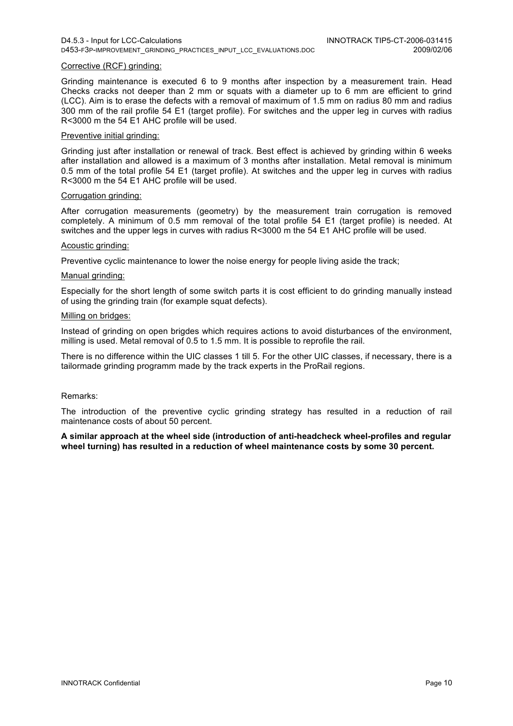#### Corrective (RCF) grinding:

Grinding maintenance is executed 6 to 9 months after inspection by a measurement train. Head Checks cracks not deeper than 2 mm or squats with a diameter up to 6 mm are efficient to grind (LCC). Aim is to erase the defects with a removal of maximum of 1.5 mm on radius 80 mm and radius 300 mm of the rail profile 54 E1 (target profile). For switches and the upper leg in curves with radius R<3000 m the 54 E1 AHC profile will be used.

#### Preventive initial grinding:

Grinding just after installation or renewal of track. Best effect is achieved by grinding within 6 weeks after installation and allowed is a maximum of 3 months after installation. Metal removal is minimum 0.5 mm of the total profile 54 E1 (target profile). At switches and the upper leg in curves with radius R<3000 m the 54 E1 AHC profile will be used.

#### Corrugation grinding:

After corrugation measurements (geometry) by the measurement train corrugation is removed completely. A minimum of 0.5 mm removal of the total profile 54 E1 (target profile) is needed. At switches and the upper legs in curves with radius R<3000 m the 54 E1 AHC profile will be used.

#### Acoustic grinding:

Preventive cyclic maintenance to lower the noise energy for people living aside the track;

#### Manual grinding:

Especially for the short length of some switch parts it is cost efficient to do grinding manually instead of using the grinding train (for example squat defects).

#### Milling on bridges:

Instead of grinding on open brigdes which requires actions to avoid disturbances of the environment, milling is used. Metal removal of 0.5 to 1.5 mm. It is possible to reprofile the rail.

There is no difference within the UIC classes 1 till 5. For the other UIC classes, if necessary, there is a tailormade grinding programm made by the track experts in the ProRail regions.

#### Remarks:

The introduction of the preventive cyclic grinding strategy has resulted in a reduction of rail maintenance costs of about 50 percent.

**A similar approach at the wheel side (introduction of anti-headcheck wheel-profiles and regular wheel turning) has resulted in a reduction of wheel maintenance costs by some 30 percent.**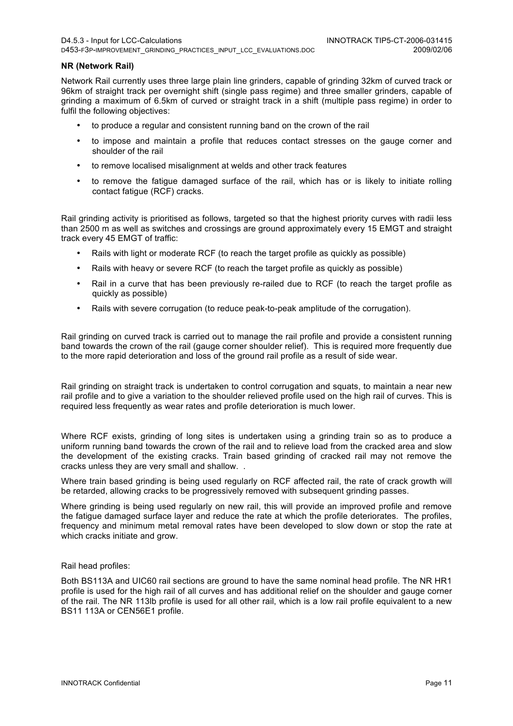#### **NR (Network Rail)**

Network Rail currently uses three large plain line grinders, capable of grinding 32km of curved track or 96km of straight track per overnight shift (single pass regime) and three smaller grinders, capable of grinding a maximum of 6.5km of curved or straight track in a shift (multiple pass regime) in order to fulfil the following objectives:

- to produce a regular and consistent running band on the crown of the rail
- to impose and maintain a profile that reduces contact stresses on the gauge corner and shoulder of the rail
- to remove localised misalignment at welds and other track features
- to remove the fatigue damaged surface of the rail, which has or is likely to initiate rolling contact fatigue (RCF) cracks.

Rail grinding activity is prioritised as follows, targeted so that the highest priority curves with radii less than 2500 m as well as switches and crossings are ground approximately every 15 EMGT and straight track every 45 EMGT of traffic:

- Rails with light or moderate RCF (to reach the target profile as quickly as possible)
- Rails with heavy or severe RCF (to reach the target profile as quickly as possible)
- Rail in a curve that has been previously re-railed due to RCF (to reach the target profile as quickly as possible)
- Rails with severe corrugation (to reduce peak-to-peak amplitude of the corrugation).

Rail grinding on curved track is carried out to manage the rail profile and provide a consistent running band towards the crown of the rail (gauge corner shoulder relief). This is required more frequently due to the more rapid deterioration and loss of the ground rail profile as a result of side wear.

Rail grinding on straight track is undertaken to control corrugation and squats, to maintain a near new rail profile and to give a variation to the shoulder relieved profile used on the high rail of curves. This is required less frequently as wear rates and profile deterioration is much lower.

Where RCF exists, grinding of long sites is undertaken using a grinding train so as to produce a uniform running band towards the crown of the rail and to relieve load from the cracked area and slow the development of the existing cracks. Train based grinding of cracked rail may not remove the cracks unless they are very small and shallow. .

Where train based grinding is being used regularly on RCF affected rail, the rate of crack growth will be retarded, allowing cracks to be progressively removed with subsequent grinding passes.

Where grinding is being used regularly on new rail, this will provide an improved profile and remove the fatigue damaged surface layer and reduce the rate at which the profile deteriorates. The profiles, frequency and minimum metal removal rates have been developed to slow down or stop the rate at which cracks initiate and grow.

#### Rail head profiles:

Both BS113A and UIC60 rail sections are ground to have the same nominal head profile. The NR HR1 profile is used for the high rail of all curves and has additional relief on the shoulder and gauge corner of the rail. The NR 113lb profile is used for all other rail, which is a low rail profile equivalent to a new BS11 113A or CEN56E1 profile.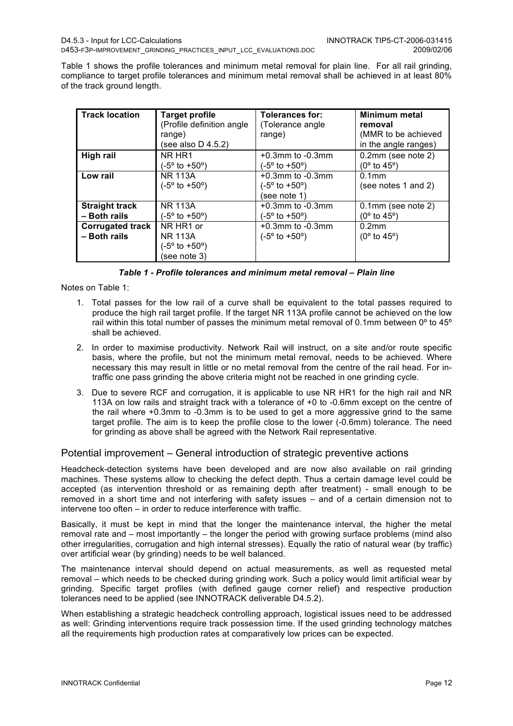Table 1 shows the profile tolerances and minimum metal removal for plain line. For all rail grinding, compliance to target profile tolerances and minimum metal removal shall be achieved in at least 80% of the track ground length.

| <b>Track location</b>                   | <b>Target profile</b><br>(Profile definition angle)<br>range)<br>(see also D 4.5.2) | Tolerances for:<br>(Tolerance angle)<br>range)                            | <b>Minimum metal</b><br>removal<br>(MMR to be achieved<br>in the angle ranges) |
|-----------------------------------------|-------------------------------------------------------------------------------------|---------------------------------------------------------------------------|--------------------------------------------------------------------------------|
| High rail                               | NR HR1<br>$(-5^{\circ}$ to $+50^{\circ})$                                           | $+0.3$ mm to $-0.3$ mm<br>$(-5^{\circ}$ to $+50^{\circ})$                 | $0.2$ mm (see note 2)<br>$(0^{\circ}$ to 45°)                                  |
| Low rail                                | <b>NR 113A</b><br>$(-5^{\circ}$ to $+50^{\circ})$                                   | $+0.3$ mm to $-0.3$ mm<br>$(-5^{\circ}$ to $+50^{\circ})$<br>(see note 1) | $0.1$ mm<br>(see notes 1 and 2)                                                |
| <b>Straight track</b><br>- Both rails   | <b>NR 113A</b><br>$(-5^{\circ}$ to $+50^{\circ})$                                   | $+0.3$ mm to $-0.3$ mm<br>$(-5^{\circ}$ to $+50^{\circ})$                 | $0.1$ mm (see note 2)<br>$(0^{\circ}$ to 45 $^{\circ})$                        |
| <b>Corrugated track</b><br>- Both rails | NR HR1 or<br><b>NR 113A</b><br>$(-5^{\circ}$ to $+50^{\circ})$<br>(see note 3)      | $+0.3$ mm to $-0.3$ mm<br>$(-5^{\circ}$ to $+50^{\circ})$                 | 0.2 <sub>mm</sub><br>$(0^{\circ}$ to 45 <sup>o</sup> )                         |

|  | Table 1 - Profile tolerances and minimum metal removal – Plain line |  |  |  |
|--|---------------------------------------------------------------------|--|--|--|
|  |                                                                     |  |  |  |

Notes on Table 1:

- 1. Total passes for the low rail of a curve shall be equivalent to the total passes required to produce the high rail target profile. If the target NR 113A profile cannot be achieved on the low rail within this total number of passes the minimum metal removal of 0.1mm between  $0^{\circ}$  to 45 $^{\circ}$ shall be achieved.
- 2. In order to maximise productivity. Network Rail will instruct, on a site and/or route specific basis, where the profile, but not the minimum metal removal, needs to be achieved. Where necessary this may result in little or no metal removal from the centre of the rail head. For intraffic one pass grinding the above criteria might not be reached in one grinding cycle.
- 3. Due to severe RCF and corrugation, it is applicable to use NR HR1 for the high rail and NR 113A on low rails and straight track with a tolerance of +0 to -0.6mm except on the centre of the rail where +0.3mm to -0.3mm is to be used to get a more aggressive grind to the same target profile. The aim is to keep the profile close to the lower (-0.6mm) tolerance. The need for grinding as above shall be agreed with the Network Rail representative.

#### Potential improvement – General introduction of strategic preventive actions

Headcheck-detection systems have been developed and are now also available on rail grinding machines. These systems allow to checking the defect depth. Thus a certain damage level could be accepted (as intervention threshold or as remaining depth after treatment) - small enough to be removed in a short time and not interfering with safety issues – and of a certain dimension not to intervene too often – in order to reduce interference with traffic.

Basically, it must be kept in mind that the longer the maintenance interval, the higher the metal removal rate and – most importantly – the longer the period with growing surface problems (mind also other irregularities, corrugation and high internal stresses). Equally the ratio of natural wear (by traffic) over artificial wear (by grinding) needs to be well balanced.

The maintenance interval should depend on actual measurements, as well as requested metal removal – which needs to be checked during grinding work. Such a policy would limit artificial wear by grinding. Specific target profiles (with defined gauge corner relief) and respective production tolerances need to be applied (see INNOTRACK deliverable D4.5.2).

When establishing a strategic headcheck controlling approach, logistical issues need to be addressed as well: Grinding interventions require track possession time. If the used grinding technology matches all the requirements high production rates at comparatively low prices can be expected.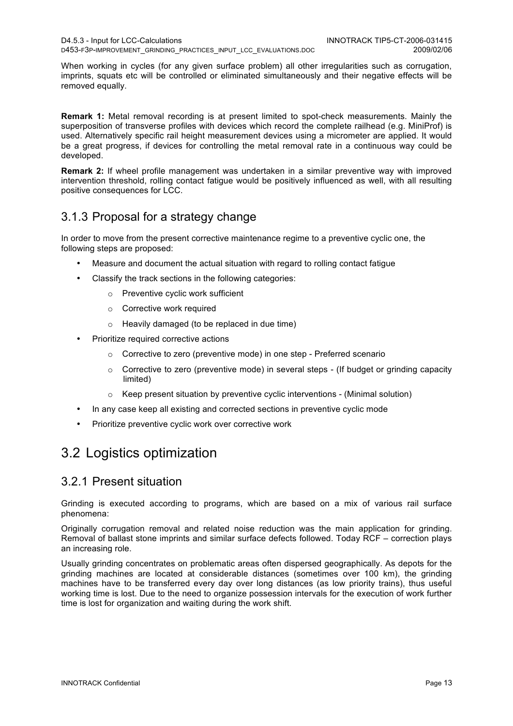When working in cycles (for any given surface problem) all other irregularities such as corrugation, imprints, squats etc will be controlled or eliminated simultaneously and their negative effects will be removed equally.

**Remark 1:** Metal removal recording is at present limited to spot-check measurements. Mainly the superposition of transverse profiles with devices which record the complete railhead (e.g. MiniProf) is used. Alternatively specific rail height measurement devices using a micrometer are applied. It would be a great progress, if devices for controlling the metal removal rate in a continuous way could be developed.

**Remark 2:** If wheel profile management was undertaken in a similar preventive way with improved intervention threshold, rolling contact fatigue would be positively influenced as well, with all resulting positive consequences for LCC.

## 3.1.3 Proposal for a strategy change

In order to move from the present corrective maintenance regime to a preventive cyclic one, the following steps are proposed:

- Measure and document the actual situation with regard to rolling contact fatigue
- Classify the track sections in the following categories:
	- o Preventive cyclic work sufficient
	- o Corrective work required
	- o Heavily damaged (to be replaced in due time)
- Prioritize required corrective actions
	- o Corrective to zero (preventive mode) in one step Preferred scenario
	- $\circ$  Corrective to zero (preventive mode) in several steps (If budget or grinding capacity limited)
	- Keep present situation by preventive cyclic interventions (Minimal solution)
- In any case keep all existing and corrected sections in preventive cyclic mode
- Prioritize preventive cyclic work over corrective work

## 3.2 Logistics optimization

### 3.2.1 Present situation

Grinding is executed according to programs, which are based on a mix of various rail surface phenomena:

Originally corrugation removal and related noise reduction was the main application for grinding. Removal of ballast stone imprints and similar surface defects followed. Today RCF – correction plays an increasing role.

Usually grinding concentrates on problematic areas often dispersed geographically. As depots for the grinding machines are located at considerable distances (sometimes over 100 km), the grinding machines have to be transferred every day over long distances (as low priority trains), thus useful working time is lost. Due to the need to organize possession intervals for the execution of work further time is lost for organization and waiting during the work shift.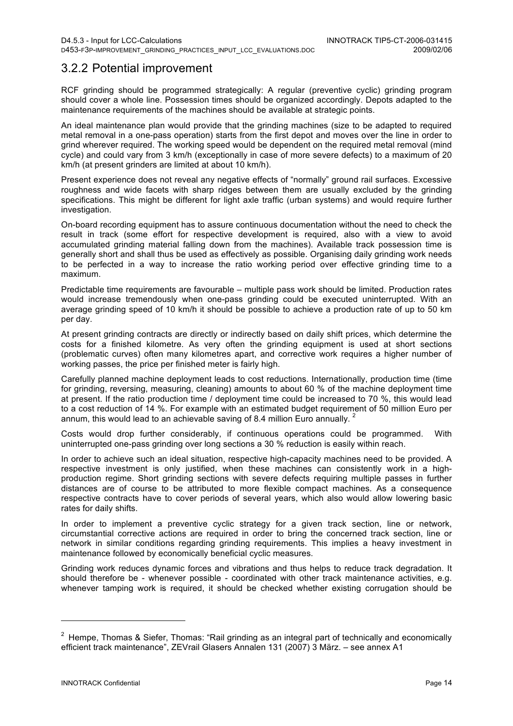## 3.2.2 Potential improvement

RCF grinding should be programmed strategically: A regular (preventive cyclic) grinding program should cover a whole line. Possession times should be organized accordingly. Depots adapted to the maintenance requirements of the machines should be available at strategic points.

An ideal maintenance plan would provide that the grinding machines (size to be adapted to required metal removal in a one-pass operation) starts from the first depot and moves over the line in order to grind wherever required. The working speed would be dependent on the required metal removal (mind cycle) and could vary from 3 km/h (exceptionally in case of more severe defects) to a maximum of 20 km/h (at present grinders are limited at about 10 km/h).

Present experience does not reveal any negative effects of "normally" ground rail surfaces. Excessive roughness and wide facets with sharp ridges between them are usually excluded by the grinding specifications. This might be different for light axle traffic (urban systems) and would require further investigation.

On-board recording equipment has to assure continuous documentation without the need to check the result in track (some effort for respective development is required, also with a view to avoid accumulated grinding material falling down from the machines). Available track possession time is generally short and shall thus be used as effectively as possible. Organising daily grinding work needs to be perfected in a way to increase the ratio working period over effective grinding time to a maximum.

Predictable time requirements are favourable – multiple pass work should be limited. Production rates would increase tremendously when one-pass grinding could be executed uninterrupted. With an average grinding speed of 10 km/h it should be possible to achieve a production rate of up to 50 km per day.

At present grinding contracts are directly or indirectly based on daily shift prices, which determine the costs for a finished kilometre. As very often the grinding equipment is used at short sections (problematic curves) often many kilometres apart, and corrective work requires a higher number of working passes, the price per finished meter is fairly high.

Carefully planned machine deployment leads to cost reductions. Internationally, production time (time for grinding, reversing, measuring, cleaning) amounts to about 60 % of the machine deployment time at present. If the ratio production time / deployment time could be increased to 70 %, this would lead to a cost reduction of 14 %. For example with an estimated budget requirement of 50 million Euro per annum, this would lead to an achievable saving of 8.4 million Euro annually.  $2^2$ 

Costs would drop further considerably, if continuous operations could be programmed. With uninterrupted one-pass grinding over long sections a 30 % reduction is easily within reach.

In order to achieve such an ideal situation, respective high-capacity machines need to be provided. A respective investment is only justified, when these machines can consistently work in a highproduction regime. Short grinding sections with severe defects requiring multiple passes in further distances are of course to be attributed to more flexible compact machines. As a consequence respective contracts have to cover periods of several years, which also would allow lowering basic rates for daily shifts.

In order to implement a preventive cyclic strategy for a given track section, line or network, circumstantial corrective actions are required in order to bring the concerned track section, line or network in similar conditions regarding grinding requirements. This implies a heavy investment in maintenance followed by economically beneficial cyclic measures.

Grinding work reduces dynamic forces and vibrations and thus helps to reduce track degradation. It should therefore be - whenever possible - coordinated with other track maintenance activities, e.g. whenever tamping work is required, it should be checked whether existing corrugation should be

l

<sup>&</sup>lt;sup>2</sup> Hempe, Thomas & Siefer, Thomas: "Rail grinding as an integral part of technically and economically efficient track maintenance", ZEVrail Glasers Annalen 131 (2007) 3 März. – see annex A1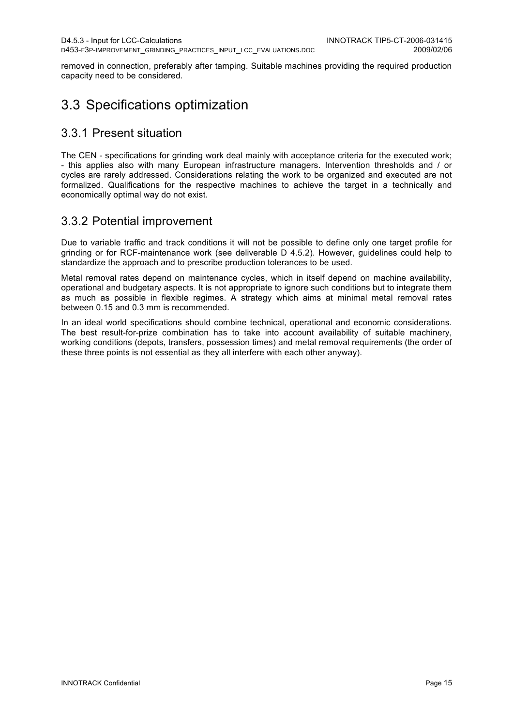removed in connection, preferably after tamping. Suitable machines providing the required production capacity need to be considered.

## 3.3 Specifications optimization

### 3.3.1 Present situation

The CEN - specifications for grinding work deal mainly with acceptance criteria for the executed work; - this applies also with many European infrastructure managers. Intervention thresholds and / or cycles are rarely addressed. Considerations relating the work to be organized and executed are not formalized. Qualifications for the respective machines to achieve the target in a technically and economically optimal way do not exist.

## 3.3.2 Potential improvement

Due to variable traffic and track conditions it will not be possible to define only one target profile for grinding or for RCF-maintenance work (see deliverable D 4.5.2). However, guidelines could help to standardize the approach and to prescribe production tolerances to be used.

Metal removal rates depend on maintenance cycles, which in itself depend on machine availability, operational and budgetary aspects. It is not appropriate to ignore such conditions but to integrate them as much as possible in flexible regimes. A strategy which aims at minimal metal removal rates between 0.15 and 0.3 mm is recommended.

In an ideal world specifications should combine technical, operational and economic considerations. The best result-for-prize combination has to take into account availability of suitable machinery, working conditions (depots, transfers, possession times) and metal removal requirements (the order of these three points is not essential as they all interfere with each other anyway).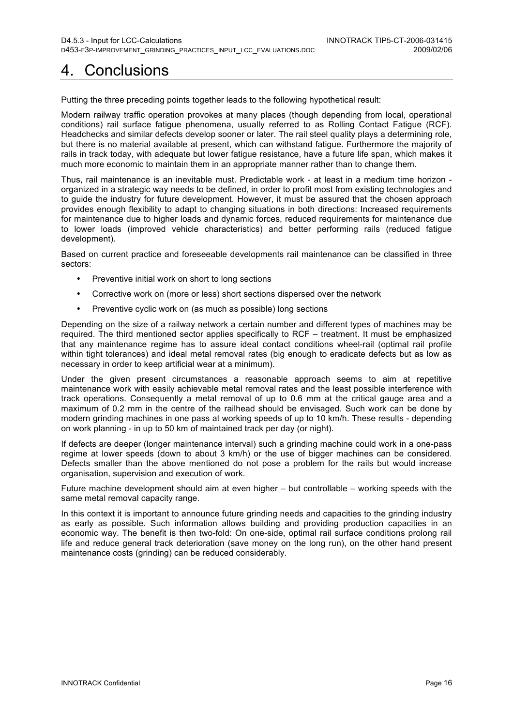# 4. Conclusions

Putting the three preceding points together leads to the following hypothetical result:

Modern railway traffic operation provokes at many places (though depending from local, operational conditions) rail surface fatigue phenomena, usually referred to as Rolling Contact Fatigue (RCF). Headchecks and similar defects develop sooner or later. The rail steel quality plays a determining role, but there is no material available at present, which can withstand fatigue. Furthermore the majority of rails in track today, with adequate but lower fatigue resistance, have a future life span, which makes it much more economic to maintain them in an appropriate manner rather than to change them.

Thus, rail maintenance is an inevitable must. Predictable work - at least in a medium time horizon organized in a strategic way needs to be defined, in order to profit most from existing technologies and to guide the industry for future development. However, it must be assured that the chosen approach provides enough flexibility to adapt to changing situations in both directions: Increased requirements for maintenance due to higher loads and dynamic forces, reduced requirements for maintenance due to lower loads (improved vehicle characteristics) and better performing rails (reduced fatigue development).

Based on current practice and foreseeable developments rail maintenance can be classified in three sectors:

- Preventive initial work on short to long sections
- Corrective work on (more or less) short sections dispersed over the network
- Preventive cyclic work on (as much as possible) long sections

Depending on the size of a railway network a certain number and different types of machines may be required. The third mentioned sector applies specifically to RCF – treatment. It must be emphasized that any maintenance regime has to assure ideal contact conditions wheel-rail (optimal rail profile within tight tolerances) and ideal metal removal rates (big enough to eradicate defects but as low as necessary in order to keep artificial wear at a minimum).

Under the given present circumstances a reasonable approach seems to aim at repetitive maintenance work with easily achievable metal removal rates and the least possible interference with track operations. Consequently a metal removal of up to 0.6 mm at the critical gauge area and a maximum of 0.2 mm in the centre of the railhead should be envisaged. Such work can be done by modern grinding machines in one pass at working speeds of up to 10 km/h. These results - depending on work planning - in up to 50 km of maintained track per day (or night).

If defects are deeper (longer maintenance interval) such a grinding machine could work in a one-pass regime at lower speeds (down to about 3 km/h) or the use of bigger machines can be considered. Defects smaller than the above mentioned do not pose a problem for the rails but would increase organisation, supervision and execution of work.

Future machine development should aim at even higher – but controllable – working speeds with the same metal removal capacity range.

In this context it is important to announce future grinding needs and capacities to the grinding industry as early as possible. Such information allows building and providing production capacities in an economic way. The benefit is then two-fold: On one-side, optimal rail surface conditions prolong rail life and reduce general track deterioration (save money on the long run), on the other hand present maintenance costs (grinding) can be reduced considerably.